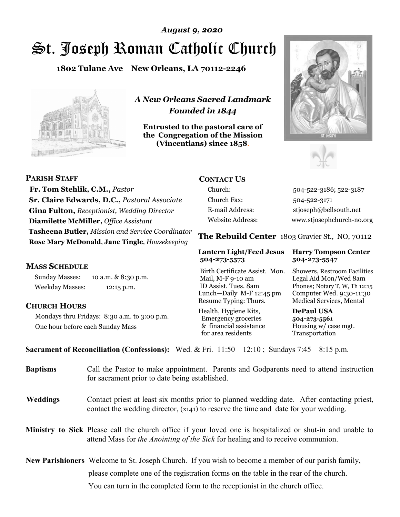# St. Joseph Roman Catholic Church *August 9, 2020*

**1802 Tulane Ave New Orleans, LA 70112-2246**



*A New Orleans Sacred Landmark Founded in 1844* 

**Entrusted to the pastoral care of the Congregation of the Mission (Vincentians) since 1858**.





**PARISH STAFF Fr. Tom Stehlik, C.M.,** *Pastor* **Sr. Claire Edwards, D.C.,** *Pastoral Associate* **Gina Fulton,** *Receptionist, Wedding Director* **Diamilette McMiller,** *Office Assistant* **Tasheena Butler,** *Mission and Service Coordinator* **Rose Mary McDonald**, **Jane Tingle**, *Housekeeping* 

#### **MASS SCHEDULE**

Sunday Masses: 10 a.m. & 8:30 p.m. Weekday Masses: 12:15 p.m.

#### **CHURCH HOURS**

Mondays thru Fridays: 8:30 a.m. to 3:00 p.m. One hour before each Sunday Mass

# **CONTACT US**

Church: 504-522-3186; 522-3187 Church Fax: 504-522-3171 E-mail Address: stjoseph@bellsouth.net Website Address: www.stjosephchurch-no.org

**The Rebuild Center** 1803 Gravier St., NO, 70112

#### **Lantern Light/Feed Jesus Harry Tompson Center 504-273-5573 504-273-5547**

Birth Certificate Assist. Mon. Showers, Restroom Facilities Mail, M-F 9-10 am Legal Aid Mon/Wed 8am ID Assist. Tues. 8am Phones; Notary T, W, Th 12:15 Lunch—Daily M-F 12:45 pm Computer Wed. 9:30-11:30 Resume Typing: Thurs. Medical Services, Mental

Health, Hygiene Kits, **DePaul USA**  Emergency groceries **504-273-5561** & financial assistance Housing w/ case mgt.<br>for area residents Transportation for area residents

**Sacrament of Reconciliation (Confessions):** Wed. & Fri. 11:50—12:10 ; Sundays 7:45—8:15 p.m.

| <b>Baptisms</b> | Call the Pastor to make appointment. Parents and Godparents need to attend instruction<br>for sacrament prior to date being established.                                                            |  |
|-----------------|-----------------------------------------------------------------------------------------------------------------------------------------------------------------------------------------------------|--|
| <b>Weddings</b> | Contact priest at least six months prior to planned wedding date. After contacting priest,<br>contact the wedding director, (x141) to reserve the time and date for your wedding.                   |  |
|                 | <b>Ministry to Sick</b> Please call the church office if your loved one is hospitalized or shut-in and unable to<br>attend Mass for the Anointing of the Sick for healing and to receive communion. |  |
|                 | New Parishioners Welcome to St. Joseph Church. If you wish to become a member of our parish family,                                                                                                 |  |
|                 | please complete one of the registration forms on the table in the rear of the church.                                                                                                               |  |
|                 | You can turn in the completed form to the reception is the church office.                                                                                                                           |  |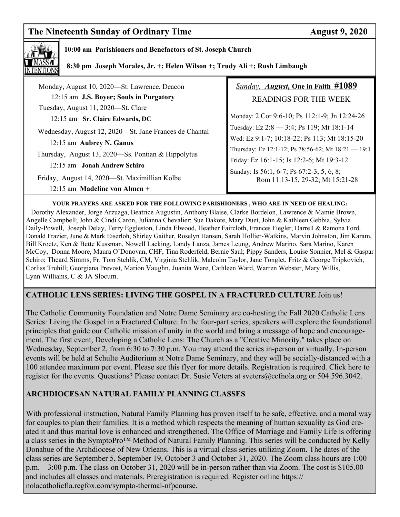# **The Nineteenth Sunday of Ordinary Time August 9, 2020**



### **10:00 am Parishioners and Benefactors of St. Joseph Church**

 **8:30 pm Joseph Morales, Jr. +; Helen Wilson +; Trudy Ali +; Rush Limbaugh** 

| Monday, August 10, 2020—St. Lawrence, Deacon           | <b>Sunday, August, One in Faith #1089</b>                                     |
|--------------------------------------------------------|-------------------------------------------------------------------------------|
| 12:15 am J.S. Boyer; Souls in Purgatory                | <b>READINGS FOR THE WEEK</b>                                                  |
| Tuesday, August 11, 2020—St. Clare                     |                                                                               |
| 12:15 am Sr. Claire Edwards, DC                        | Monday: 2 Cor 9:6-10; Ps 112:1-9; Jn 12:24-26                                 |
| Wednesday, August 12, 2020—St. Jane Frances de Chantal | Tuesday: Ez 2:8 - 3:4; Ps 119; Mt 18:1-14                                     |
| 12:15 am Aubrey N. Ganus                               | Wed: Ez 9:1-7; 10:18-22; Ps 113; Mt 18:15-20                                  |
| Thursday, August 13, 2020—Ss. Pontian & Hippolytus     | Thursday: Ez 12:1-12; Ps 78:56-62; Mt 18:21 - 19:1                            |
| 12:15 am Jonah Andrew Schiro                           | Friday: Ez 16:1-15; Is 12:2-6; Mt 19:3-12                                     |
| Friday, August 14, 2020—St. Maximillian Kolbe          | Sunday: Is 56:1, 6-7; Ps 67:2-3, 5, 6, 8;<br>Rom 11:13-15, 29-32; Mt 15:21-28 |
| $12:15$ am Madeline von Almen +                        |                                                                               |
|                                                        |                                                                               |

**YOUR PRAYERS ARE ASKED FOR THE FOLLOWING PARISHIONERS , WHO ARE IN NEED OF HEALING:**  Dorothy Alexander, Jorge Arzuaga, Beatrice Augustin, Anthony Blaise, Clarke Bordelon, Lawrence & Mamie Brown, Angelle Campbell; John & Cindi Caron, Julianna Chevalier; Sue Dakote, Mary Duet, John & Kathleen Gebbia, Sylvia Daily-Powell, Joseph Delay, Terry Eggleston, Linda Elwood, Heather Faircloth, Frances Fiegler, Darrell & Ramona Ford, Donald Frazier, June & Mark Eiserloh, Shirley Gaither, Roselyn Hansen, Sarah Hollier-Watkins, Marvin Johnston, Jim Karam, Bill Kroetz, Ken & Bette Kussman, Nowell Lacking, Landy Lanza, James Leung, Andrew Marino, Sara Marino, Karen McCoy, Donna Moore, Maura O'Donovan, CHF, Tina Roderfeld, Bernie Saul; Pippy Sanders, Louise Sonnier, Mel & Gaspar Schiro; Theard Simms, Fr. Tom Stehlik, CM, Virginia Stehlik, Malcolm Taylor, Jane Tonglet, Fritz & George Tripkovich, Corliss Truhill; Georgiana Prevost, Marion Vaughn, Juanita Ware, Cathleen Ward, Warren Webster, Mary Willis, Lynn Williams, C & JA Slocum.

#### **CATHOLIC LENS SERIES: LIVING THE GOSPEL IN A FRACTURED CULTURE** Join us!

The Catholic Community Foundation and Notre Dame Seminary are co-hosting the Fall 2020 Catholic Lens Series: Living the Gospel in a Fractured Culture. In the four-part series, speakers will explore the foundational principles that guide our Catholic mission of unity in the world and bring a message of hope and encouragement. The first event, Developing a Catholic Lens: The Church as a "Creative Minority," takes place on Wednesday, September 2, from 6:30 to 7:30 p.m. You may attend the series in-person or virtually. In-person events will be held at Schulte Auditorium at Notre Dame Seminary, and they will be socially-distanced with a 100 attendee maximum per event. Please see this flyer for more details. Registration is required. Click here to register for the events. Questions? Please contact Dr. Susie Veters at sveters@ccfnola.org or 504.596.3042.

### **ARCHDIOCESAN NATURAL FAMILY PLANNING CLASSES**

With professional instruction, Natural Family Planning has proven itself to be safe, effective, and a moral way for couples to plan their families. It is a method which respects the meaning of human sexuality as God created it and thus marital love is enhanced and strengthened. The Office of Marriage and Family Life is offering a class series in the SymptoPro™ Method of Natural Family Planning. This series will be conducted by Kelly Donahue of the Archdiocese of New Orleans. This is a virtual class series utilizing Zoom. The dates of the class series are September 5, September 19, October 3 and October 31, 2020. The Zoom class hours are 1:00 p.m. – 3:00 p.m. The class on October 31, 2020 will be in-person rather than via Zoom. The cost is \$105.00 and includes all classes and materials. Preregistration is required. Register online https:// nolacatholicfla.regfox.com/sympto-thermal-nfpcourse.